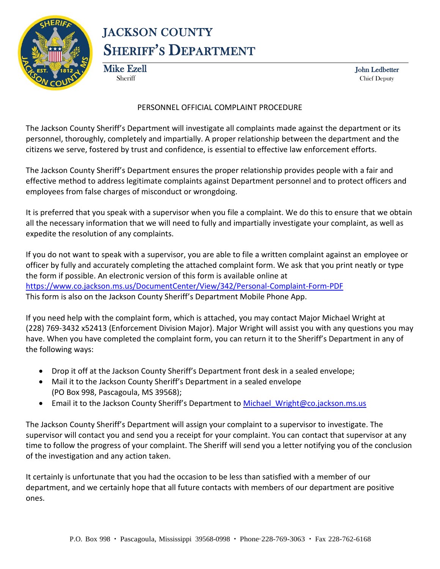

## JACKSON COUNTY SHERIFF'S DEPARTMENT

Mike Ezell John Ledbetter

Sheriff Chief Deputy

#### PERSONNEL OFFICIAL COMPLAINT PROCEDURE

The Jackson County Sheriff's Department will investigate all complaints made against the department or its personnel, thoroughly, completely and impartially. A proper relationship between the department and the citizens we serve, fostered by trust and confidence, is essential to effective law enforcement efforts.

The Jackson County Sheriff's Department ensures the proper relationship provides people with a fair and effective method to address legitimate complaints against Department personnel and to protect officers and employees from false charges of misconduct or wrongdoing.

It is preferred that you speak with a supervisor when you file a complaint. We do this to ensure that we obtain all the necessary information that we will need to fully and impartially investigate your complaint, as well as expedite the resolution of any complaints.

If you do not want to speak with a supervisor, you are able to file a written complaint against an employee or officer by fully and accurately completing the attached complaint form. We ask that you print neatly or type the form if possible. An electronic version of this form is available online at <https://www.co.jackson.ms.us/DocumentCenter/View/342/Personal-Complaint-Form-PDF> This form is also on the Jackson County Sheriff's Department Mobile Phone App.

If you need help with the complaint form, which is attached, you may contact Major Michael Wright at (228) 769-3432 x52413 (Enforcement Division Major). Major Wright will assist you with any questions you may have. When you have completed the complaint form, you can return it to the Sheriff's Department in any of the following ways:

- Drop it off at the Jackson County Sheriff's Department front desk in a sealed envelope;
- Mail it to the Jackson County Sheriff's Department in a sealed envelope (PO Box 998, Pascagoula, MS 39568);
- Email it to the Jackson County Sheriff's Department to Michael Wright@co.jackson.ms.us

The Jackson County Sheriff's Department will assign your complaint to a supervisor to investigate. The supervisor will contact you and send you a receipt for your complaint. You can contact that supervisor at any time to follow the progress of your complaint. The Sheriff will send you a letter notifying you of the conclusion of the investigation and any action taken.

It certainly is unfortunate that you had the occasion to be less than satisfied with a member of our department, and we certainly hope that all future contacts with members of our department are positive ones.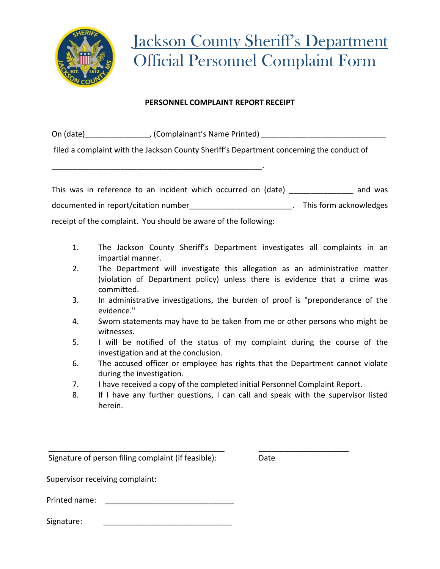

#### **PERSONNEL COMPLAINT REPORT RECEIPT**

On (date) The Complainant's Name Printed) and the Contract of Complainant's Name Printed) and the Contract of

filed a complaint with the Jackson County Sheriff's Department concerning the conduct of

\_\_\_\_\_\_\_\_\_\_\_\_\_\_\_\_\_\_\_\_\_\_\_\_\_\_\_\_\_\_\_\_\_\_\_\_\_\_\_\_\_\_\_\_\_\_\_\_\_.

This was in reference to an incident which occurred on (date) and was documented in report/citation number<br>documented in report/citation number receipt of the complaint. You should be aware of the following:

- 1. The Jackson County Sheriff's Department investigates all complaints in an impartial manner.
- 2. The Department will investigate this allegation as an administrative matter (violation of Department policy) unless there is evidence that a crime was committed.
- 3. In administrative investigations, the burden of proof is "preponderance of the evidence."
- 4. Sworn statements may have to be taken from me or other persons who might be witnesses.
- 5. I will be notified of the status of my complaint during the course of the investigation and at the conclusion.
- 6. The accused officer or employee has rights that the Department cannot violate during the investigation.
- 7. I have received a copy of the completed initial Personnel Complaint Report.
- 8. If I have any further questions, I can call and speak with the supervisor listed herein.

\_\_\_\_\_\_\_\_\_\_\_\_\_\_\_\_\_\_\_\_\_\_\_\_\_\_\_\_\_\_\_\_\_\_\_\_\_\_\_\_\_ \_\_\_\_\_\_\_\_\_\_\_\_\_\_\_\_\_\_\_\_\_ Signature of person filing complaint (if feasible): Date

Supervisor receiving complaint:

Printed name:

Signature: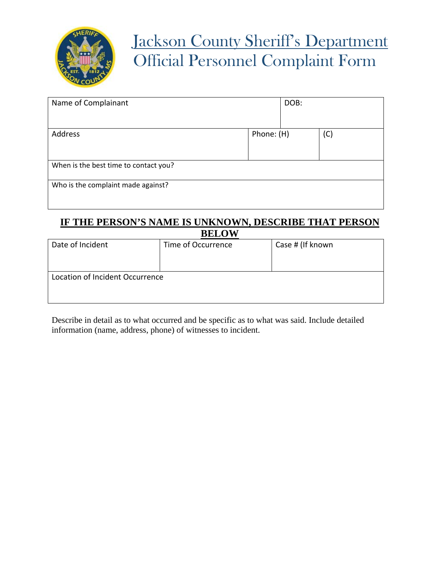

# Jackson County Sheriff's Department Official Personnel Complaint Form

| Name of Complainant                   |            | DOB: |     |
|---------------------------------------|------------|------|-----|
| Address                               | Phone: (H) |      | (C) |
| When is the best time to contact you? |            |      |     |
| Who is the complaint made against?    |            |      |     |

### **IF THE PERSON'S NAME IS UNKNOWN, DESCRIBE THAT PERSON BELOW**

| -----                           |                    |                  |  |  |  |
|---------------------------------|--------------------|------------------|--|--|--|
| Date of Incident                | Time of Occurrence | Case # (If known |  |  |  |
|                                 |                    |                  |  |  |  |
| Location of Incident Occurrence |                    |                  |  |  |  |
|                                 |                    |                  |  |  |  |
|                                 |                    |                  |  |  |  |

Describe in detail as to what occurred and be specific as to what was said. Include detailed information (name, address, phone) of witnesses to incident.